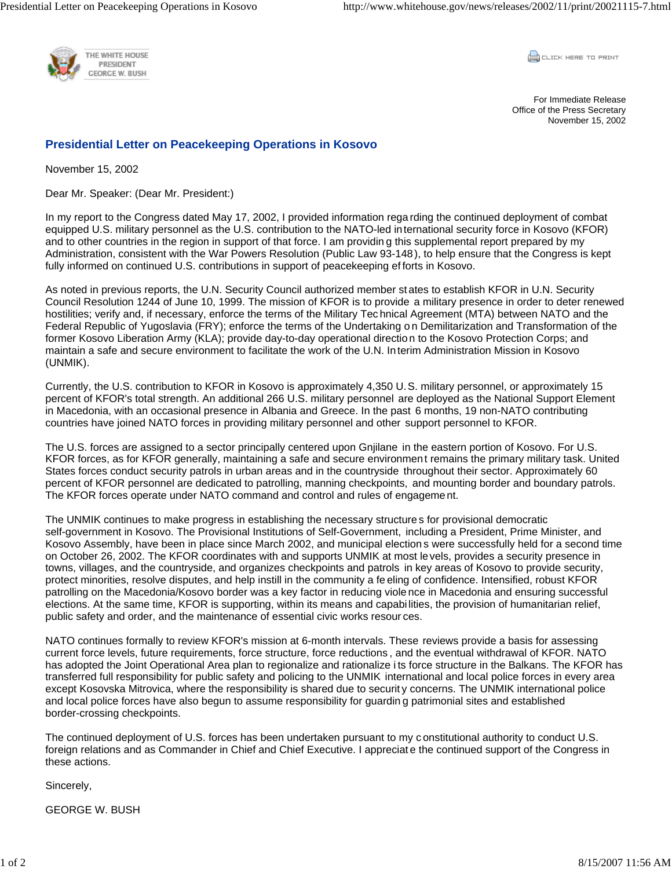

CLICK HERE TO PRINT

For Immediate Release Office of the Press Secretary November 15, 2002

## **Presidential Letter on Peacekeeping Operations in Kosovo**

November 15, 2002

Dear Mr. Speaker: (Dear Mr. President:)

In my report to the Congress dated May 17, 2002, I provided information rega rding the continued deployment of combat equipped U.S. military personnel as the U.S. contribution to the NATO-led international security force in Kosovo (KFOR) and to other countries in the region in support of that force. I am providin g this supplemental report prepared by my Administration, consistent with the War Powers Resolution (Public Law 93-148), to help ensure that the Congress is kept fully informed on continued U.S. contributions in support of peacekeeping efforts in Kosovo.

As noted in previous reports, the U.N. Security Council authorized member st ates to establish KFOR in U.N. Security Council Resolution 1244 of June 10, 1999. The mission of KFOR is to provide a military presence in order to deter renewed hostilities; verify and, if necessary, enforce the terms of the Military Tec hnical Agreement (MTA) between NATO and the Federal Republic of Yugoslavia (FRY); enforce the terms of the Undertaking o n Demilitarization and Transformation of the former Kosovo Liberation Army (KLA); provide day-to-day operational directio n to the Kosovo Protection Corps; and maintain a safe and secure environment to facilitate the work of the U.N. In terim Administration Mission in Kosovo (UNMIK).

Currently, the U.S. contribution to KFOR in Kosovo is approximately 4,350 U.S. military personnel, or approximately 15 percent of KFOR's total strength. An additional 266 U.S. military personnel are deployed as the National Support Element in Macedonia, with an occasional presence in Albania and Greece. In the past 6 months, 19 non-NATO contributing countries have joined NATO forces in providing military personnel and other support personnel to KFOR.

The U.S. forces are assigned to a sector principally centered upon Gnjilane in the eastern portion of Kosovo. For U.S. KFOR forces, as for KFOR generally, maintaining a safe and secure environment remains the primary military task. United States forces conduct security patrols in urban areas and in the countryside throughout their sector. Approximately 60 percent of KFOR personnel are dedicated to patrolling, manning checkpoints, and mounting border and boundary patrols. The KFOR forces operate under NATO command and control and rules of engageme nt.

The UNMIK continues to make progress in establishing the necessary structure s for provisional democratic self-government in Kosovo. The Provisional Institutions of Self-Government, including a President, Prime Minister, and Kosovo Assembly, have been in place since March 2002, and municipal election s were successfully held for a second time on October 26, 2002. The KFOR coordinates with and supports UNMIK at most levels, provides a security presence in towns, villages, and the countryside, and organizes checkpoints and patrols in key areas of Kosovo to provide security, protect minorities, resolve disputes, and help instill in the community a fe eling of confidence. Intensified, robust KFOR patrolling on the Macedonia/Kosovo border was a key factor in reducing viole nce in Macedonia and ensuring successful elections. At the same time, KFOR is supporting, within its means and capabilities, the provision of humanitarian relief, public safety and order, and the maintenance of essential civic works resour ces.

NATO continues formally to review KFOR's mission at 6-month intervals. These reviews provide a basis for assessing current force levels, future requirements, force structure, force reductions , and the eventual withdrawal of KFOR. NATO has adopted the Joint Operational Area plan to regionalize and rationalize its force structure in the Balkans. The KFOR has transferred full responsibility for public safety and policing to the UNMIK international and local police forces in every area except Kosovska Mitrovica, where the responsibility is shared due to securit y concerns. The UNMIK international police and local police forces have also begun to assume responsibility for guardin g patrimonial sites and established border-crossing checkpoints.

The continued deployment of U.S. forces has been undertaken pursuant to my c onstitutional authority to conduct U.S. foreign relations and as Commander in Chief and Chief Executive. I appreciate the continued support of the Congress in these actions.

Sincerely,

GEORGE W. BUSH